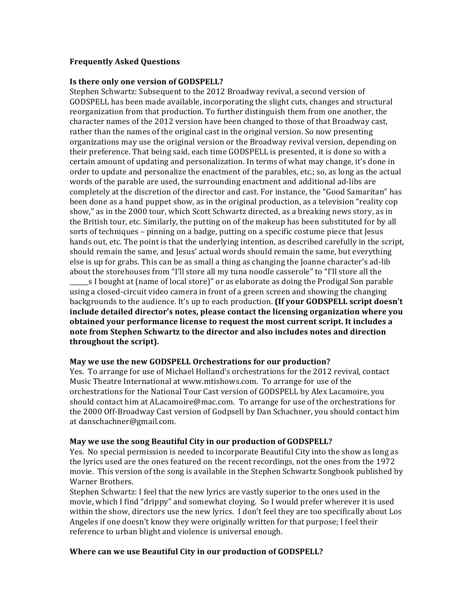# **Frequently Asked Questions**

#### **Is there only one version of GODSPELL?**

Stephen Schwartz: Subsequent to the 2012 Broadway revival, a second version of GODSPELL has been made available, incorporating the slight cuts, changes and structural reorganization from that production. To further distinguish them from one another, the character names of the 2012 version have been changed to those of that Broadway cast, rather than the names of the original cast in the original version. So now presenting organizations may use the original version or the Broadway revival version, depending on their preference. That being said, each time GODSPELL is presented, it is done so with a certain amount of updating and personalization. In terms of what may change, it's done in order to update and personalize the enactment of the parables, etc.; so, as long as the actual words of the parable are used, the surrounding enactment and additional ad-libs are completely at the discretion of the director and cast. For instance, the "Good Samaritan" has been done as a hand puppet show, as in the original production, as a television "reality cop show," as in the 2000 tour, which Scott Schwartz directed, as a breaking news story, as in the British tour, etc. Similarly, the putting on of the makeup has been substituted for by all sorts of techniques – pinning on a badge, putting on a specific costume piece that Jesus hands out, etc. The point is that the underlying intention, as described carefully in the script, should remain the same, and Jesus' actual words should remain the same, but everything else is up for grabs. This can be as small a thing as changing the Joanne character's ad-lib about the storehouses from "I'll store all my tuna noodle casserole" to "I'll store all the \_s I bought at (name of local store)" or as elaborate as doing the Prodigal Son parable using a closed-circuit video camera in front of a green screen and showing the changing backgrounds to the audience. It's up to each production. **(If your GODSPELL script doesn't** include detailed director's notes, please contact the licensing organization where you **obtained your performance license to request the most current script. It includes a** note from Stephen Schwartz to the director and also includes notes and direction

**throughout** the script).

## May we use the new GODSPELL Orchestrations for our production?

Yes. To arrange for use of Michael Holland's orchestrations for the 2012 revival, contact Music Theatre International at www.mtishows.com. To arrange for use of the orchestrations for the National Tour Cast version of GODSPELL by Alex Lacamoire, you should contact him at ALacamoire@mac.com. To arrange for use of the orchestrations for the 2000 Off-Broadway Cast version of Godpsell by Dan Schachner, you should contact him at danschachner@gmail.com.

## **May we use the song Beautiful City in our production of GODSPELL?**

Yes. No special permission is needed to incorporate Beautiful City into the show as long as the lyrics used are the ones featured on the recent recordings, not the ones from the 1972 movie. This version of the song is available in the Stephen Schwartz Songbook published by Warner Brothers.

Stephen Schwartz: I feel that the new lyrics are vastly superior to the ones used in the movie, which I find "drippy" and somewhat cloying. So I would prefer wherever it is used within the show, directors use the new lyrics. I don't feel they are too specifically about Los Angeles if one doesn't know they were originally written for that purpose: I feel their reference to urban blight and violence is universal enough.

## **Where can we use Beautiful City in our production of GODSPELL?**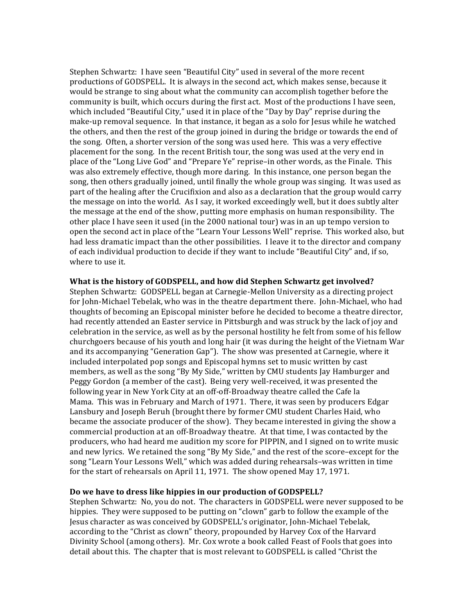Stephen Schwartz: I have seen "Beautiful City" used in several of the more recent productions of GODSPELL. It is always in the second act, which makes sense, because it would be strange to sing about what the community can accomplish together before the community is built, which occurs during the first act. Most of the productions I have seen, which included "Beautiful City," used it in place of the "Day by Day" reprise during the make-up removal sequence. In that instance, it began as a solo for Jesus while he watched the others, and then the rest of the group joined in during the bridge or towards the end of the song. Often, a shorter version of the song was used here. This was a very effective placement for the song. In the recent British tour, the song was used at the very end in place of the "Long Live God" and "Prepare Ye" reprise–in other words, as the Finale. This was also extremely effective, though more daring. In this instance, one person began the song, then others gradually joined, until finally the whole group was singing. It was used as part of the healing after the Crucifixion and also as a declaration that the group would carry the message on into the world. As I say, it worked exceedingly well, but it does subtly alter the message at the end of the show, putting more emphasis on human responsibility. The other place I have seen it used (in the 2000 national tour) was in an up tempo version to open the second act in place of the "Learn Your Lessons Well" reprise. This worked also, but had less dramatic impact than the other possibilities. I leave it to the director and company of each individual production to decide if they want to include "Beautiful City" and, if so, where to use it.

#### What is the history of GODSPELL, and how did Stephen Schwartz get involved?

Stephen Schwartz: GODSPELL began at Carnegie-Mellon University as a directing project for John-Michael Tebelak, who was in the theatre department there. John-Michael, who had thoughts of becoming an Episcopal minister before he decided to become a theatre director, had recently attended an Easter service in Pittsburgh and was struck by the lack of joy and celebration in the service, as well as by the personal hostility he felt from some of his fellow churchgoers because of his youth and long hair (it was during the height of the Vietnam War and its accompanying "Generation Gap"). The show was presented at Carnegie, where it included interpolated pop songs and Episcopal hymns set to music written by cast members, as well as the song "By My Side," written by CMU students Jay Hamburger and Peggy Gordon (a member of the cast). Being very well-received, it was presented the following year in New York City at an off-off-Broadway theatre called the Cafe la Mama. This was in February and March of 1971. There, it was seen by producers Edgar Lansbury and Joseph Beruh (brought there by former CMU student Charles Haid, who became the associate producer of the show). They became interested in giving the show a commercial production at an off-Broadway theatre. At that time, I was contacted by the producers, who had heard me audition my score for PIPPIN, and I signed on to write music and new lyrics. We retained the song "By My Side," and the rest of the score–except for the song "Learn Your Lessons Well," which was added during rehearsals-was written in time for the start of rehearsals on April 11, 1971. The show opened May 17, 1971.

#### Do we have to dress like hippies in our production of GODSPELL?

Stephen Schwartz: No, you do not. The characters in GODSPELL were never supposed to be hippies. They were supposed to be putting on "clown" garb to follow the example of the Jesus character as was conceived by GODSPELL's originator, John-Michael Tebelak, according to the "Christ as clown" theory, propounded by Harvey Cox of the Harvard Divinity School (among others). Mr. Cox wrote a book called Feast of Fools that goes into detail about this. The chapter that is most relevant to GODSPELL is called "Christ the